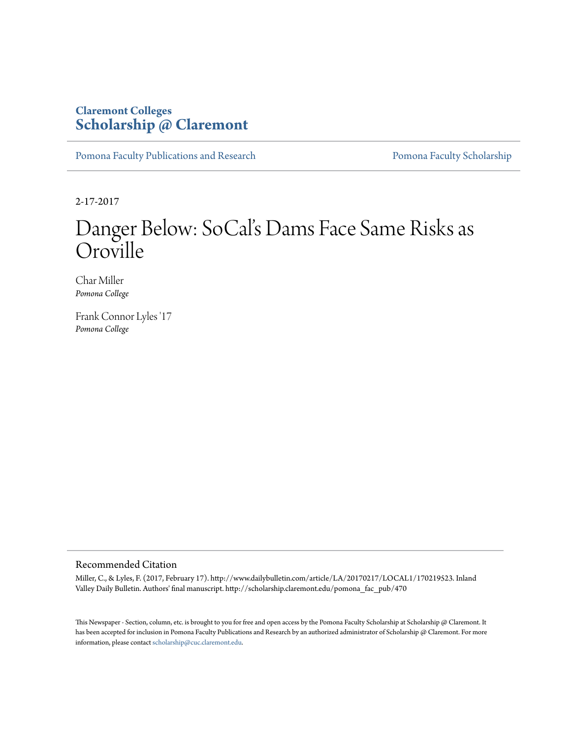## **Claremont Colleges [Scholarship @ Claremont](http://scholarship.claremont.edu)**

[Pomona Faculty Publications and Research](http://scholarship.claremont.edu/pomona_fac_pub) [Pomona Faculty Scholarship](http://scholarship.claremont.edu/pomona_faculty)

2-17-2017

## Danger Below: SoCal's Dams Face Same Risks as Oroville

Char Miller *Pomona College*

Frank Connor Lyles '17 *Pomona College*

## Recommended Citation

Miller, C., & Lyles, F. (2017, February 17). http://www.dailybulletin.com/article/LA/20170217/LOCAL1/170219523. Inland Valley Daily Bulletin. Authors' final manuscript. http://scholarship.claremont.edu/pomona\_fac\_pub/470

This Newspaper - Section, column, etc. is brought to you for free and open access by the Pomona Faculty Scholarship at Scholarship @ Claremont. It has been accepted for inclusion in Pomona Faculty Publications and Research by an authorized administrator of Scholarship @ Claremont. For more information, please contact [scholarship@cuc.claremont.edu](mailto:scholarship@cuc.claremont.edu).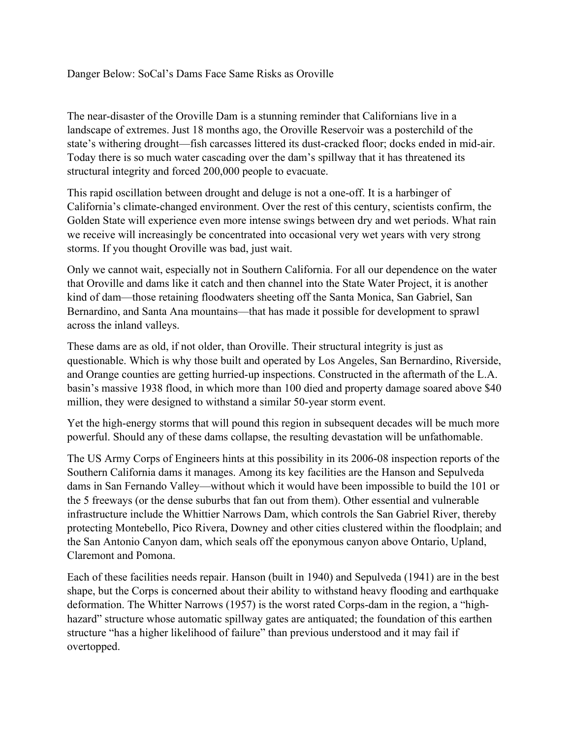Danger Below: SoCal's Dams Face Same Risks as Oroville

The near-disaster of the Oroville Dam is a stunning reminder that Californians live in a landscape of extremes. Just 18 months ago, the Oroville Reservoir was a posterchild of the state's withering drought—fish carcasses littered its dust-cracked floor; docks ended in mid-air. Today there is so much water cascading over the dam's spillway that it has threatened its structural integrity and forced 200,000 people to evacuate.

This rapid oscillation between drought and deluge is not a one-off. It is a harbinger of California's climate-changed environment. Over the rest of this century, scientists confirm, the Golden State will experience even more intense swings between dry and wet periods. What rain we receive will increasingly be concentrated into occasional very wet years with very strong storms. If you thought Oroville was bad, just wait.

Only we cannot wait, especially not in Southern California. For all our dependence on the water that Oroville and dams like it catch and then channel into the State Water Project, it is another kind of dam—those retaining floodwaters sheeting off the Santa Monica, San Gabriel, San Bernardino, and Santa Ana mountains—that has made it possible for development to sprawl across the inland valleys.

These dams are as old, if not older, than Oroville. Their structural integrity is just as questionable. Which is why those built and operated by Los Angeles, San Bernardino, Riverside, and Orange counties are getting hurried-up inspections. Constructed in the aftermath of the L.A. basin's massive 1938 flood, in which more than 100 died and property damage soared above \$40 million, they were designed to withstand a similar 50-year storm event.

Yet the high-energy storms that will pound this region in subsequent decades will be much more powerful. Should any of these dams collapse, the resulting devastation will be unfathomable.

The US Army Corps of Engineers hints at this possibility in its 2006-08 inspection reports of the Southern California dams it manages. Among its key facilities are the Hanson and Sepulveda dams in San Fernando Valley—without which it would have been impossible to build the 101 or the 5 freeways (or the dense suburbs that fan out from them). Other essential and vulnerable infrastructure include the Whittier Narrows Dam, which controls the San Gabriel River, thereby protecting Montebello, Pico Rivera, Downey and other cities clustered within the floodplain; and the San Antonio Canyon dam, which seals off the eponymous canyon above Ontario, Upland, Claremont and Pomona.

Each of these facilities needs repair. Hanson (built in 1940) and Sepulveda (1941) are in the best shape, but the Corps is concerned about their ability to withstand heavy flooding and earthquake deformation. The Whitter Narrows (1957) is the worst rated Corps-dam in the region, a "highhazard" structure whose automatic spillway gates are antiquated; the foundation of this earthen structure "has a higher likelihood of failure" than previous understood and it may fail if overtopped.